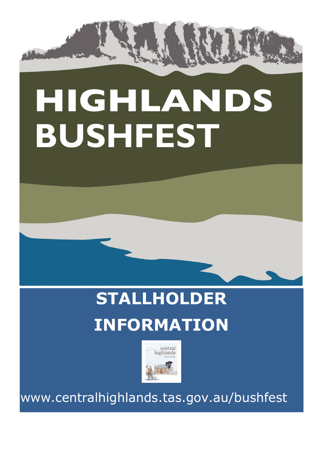

# HIGHLANDS **BUSHFEST**

# **STALLHOLDER INFORMATION**



www.centralhighlands.tas.gov.au/bushfest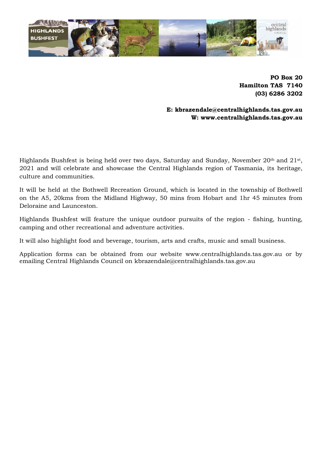

**PO Box 20 Hamilton TAS 7140 (03) 6286 3202**

**E: kbrazendale@centralhighlands.tas.gov.au W: www.centralhighlands.tas.gov.au**

Highlands Bushfest is being held over two days, Saturday and Sunday, November 20<sup>th</sup> and 21<sup>st</sup>, 2021 and will celebrate and showcase the Central Highlands region of Tasmania, its heritage, culture and communities.

It will be held at the Bothwell Recreation Ground, which is located in the township of Bothwell on the A5, 20kms from the Midland Highway, 50 mins from Hobart and 1hr 45 minutes from Deloraine and Launceston.

Highlands Bushfest will feature the unique outdoor pursuits of the region - fishing, hunting, camping and other recreational and adventure activities.

It will also highlight food and beverage, tourism, arts and crafts, music and small business.

Application forms can be obtained from our website www.centralhighlands.tas.gov.au or by emailing Central Highlands Council on kbrazendale@centralhighlands.tas.gov.au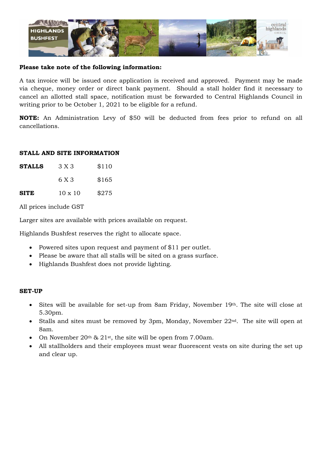

#### **Please take note of the following information:**

A tax invoice will be issued once application is received and approved. Payment may be made via cheque, money order or direct bank payment. Should a stall holder find it necessary to cancel an allotted stall space, notification must be forwarded to Central Highlands Council in writing prior to be October 1, 2021 to be eligible for a refund.

**NOTE:** An Administration Levy of \$50 will be deducted from fees prior to refund on all cancellations.

#### **STALL AND SITE INFORMATION**

| <b>STALLS</b> | 3 X 3          | \$110 |
|---------------|----------------|-------|
|               | 6 X 3          | \$165 |
| <b>SITE</b>   | $10 \times 10$ | \$275 |

All prices include GST

Larger sites are available with prices available on request.

Highlands Bushfest reserves the right to allocate space.

- Powered sites upon request and payment of \$11 per outlet.
- Please be aware that all stalls will be sited on a grass surface.
- Highlands Bushfest does not provide lighting.

#### **SET-UP**

- Sites will be available for set-up from 8am Friday, November 19th. The site will close at 5.30pm.
- Stalls and sites must be removed by 3pm, Monday, November  $22<sup>nd</sup>$ . The site will open at 8am.
- On November 20<sup>th</sup> & 21<sup>st</sup>, the site will be open from 7.00am.
- All stallholders and their employees must wear fluorescent vests on site during the set up and clear up.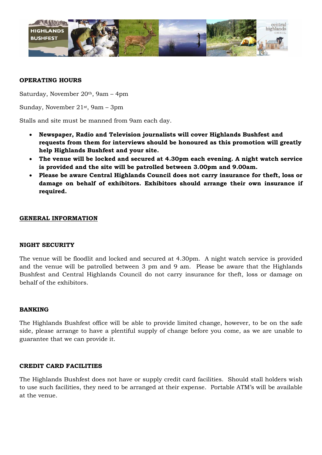

#### **OPERATING HOURS**

Saturday, November 20th, 9am – 4pm

Sunday, November 21st, 9am – 3pm

Stalls and site must be manned from 9am each day.

- **Newspaper, Radio and Television journalists will cover Highlands Bushfest and requests from them for interviews should be honoured as this promotion will greatly help Highlands Bushfest and your site.**
- **The venue will be locked and secured at 4.30pm each evening. A night watch service is provided and the site will be patrolled between 3.00pm and 9.00am.**
- **Please be aware Central Highlands Council does not carry insurance for theft, loss or damage on behalf of exhibitors. Exhibitors should arrange their own insurance if required.**

#### **GENERAL INFORMATION**

#### **NIGHT SECURITY**

The venue will be floodlit and locked and secured at 4.30pm. A night watch service is provided and the venue will be patrolled between 3 pm and 9 am. Please be aware that the Highlands Bushfest and Central Highlands Council do not carry insurance for theft, loss or damage on behalf of the exhibitors.

#### **BANKING**

The Highlands Bushfest office will be able to provide limited change, however, to be on the safe side, please arrange to have a plentiful supply of change before you come, as we are unable to guarantee that we can provide it.

#### **CREDIT CARD FACILITIES**

The Highlands Bushfest does not have or supply credit card facilities. Should stall holders wish to use such facilities, they need to be arranged at their expense. Portable ATM's will be available at the venue.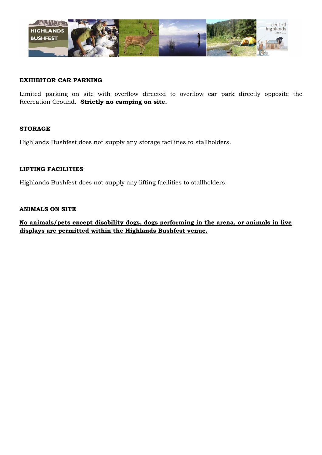

#### **EXHIBITOR CAR PARKING**

Limited parking on site with overflow directed to overflow car park directly opposite the Recreation Ground. **Strictly no camping on site.**

#### **STORAGE**

Highlands Bushfest does not supply any storage facilities to stallholders.

#### **LIFTING FACILITIES**

Highlands Bushfest does not supply any lifting facilities to stallholders.

#### **ANIMALS ON SITE**

**No animals/pets except disability dogs, dogs performing in the arena, or animals in live displays are permitted within the Highlands Bushfest venue.**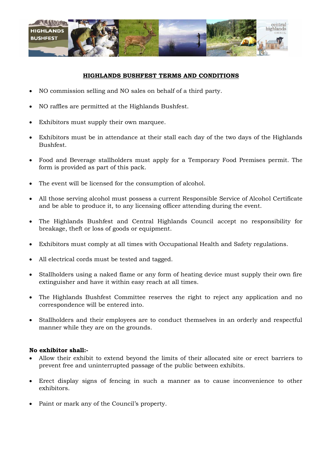

#### **HIGHLANDS BUSHFEST TERMS AND CONDITIONS**

- NO commission selling and NO sales on behalf of a third party.
- NO raffles are permitted at the Highlands Bushfest.
- Exhibitors must supply their own marquee.
- Exhibitors must be in attendance at their stall each day of the two days of the Highlands Bushfest.
- Food and Beverage stallholders must apply for a Temporary Food Premises permit. The form is provided as part of this pack.
- The event will be licensed for the consumption of alcohol.
- All those serving alcohol must possess a current Responsible Service of Alcohol Certificate and be able to produce it, to any licensing officer attending during the event.
- The Highlands Bushfest and Central Highlands Council accept no responsibility for breakage, theft or loss of goods or equipment.
- Exhibitors must comply at all times with Occupational Health and Safety regulations.
- All electrical cords must be tested and tagged.
- Stallholders using a naked flame or any form of heating device must supply their own fire extinguisher and have it within easy reach at all times.
- The Highlands Bushfest Committee reserves the right to reject any application and no correspondence will be entered into.
- Stallholders and their employees are to conduct themselves in an orderly and respectful manner while they are on the grounds.

#### **No exhibitor shall:-**

- Allow their exhibit to extend beyond the limits of their allocated site or erect barriers to prevent free and uninterrupted passage of the public between exhibits.
- Erect display signs of fencing in such a manner as to cause inconvenience to other exhibitors.
- Paint or mark any of the Council's property.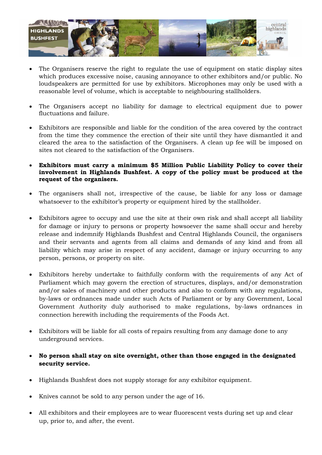

- The Organisers reserve the right to regulate the use of equipment on static display sites which produces excessive noise, causing annoyance to other exhibitors and/or public. No loudspeakers are permitted for use by exhibitors. Microphones may only be used with a reasonable level of volume, which is acceptable to neighbouring stallholders.
- The Organisers accept no liability for damage to electrical equipment due to power fluctuations and failure.
- Exhibitors are responsible and liable for the condition of the area covered by the contract from the time they commence the erection of their site until they have dismantled it and cleared the area to the satisfaction of the Organisers. A clean up fee will be imposed on sites not cleared to the satisfaction of the Organisers.
- **Exhibitors must carry a minimum \$5 Million Public Liability Policy to cover their involvement in Highlands Bushfest. A copy of the policy must be produced at the request of the organisers.**
- The organisers shall not, irrespective of the cause, be liable for any loss or damage whatsoever to the exhibitor's property or equipment hired by the stallholder.
- Exhibitors agree to occupy and use the site at their own risk and shall accept all liability for damage or injury to persons or property howsoever the same shall occur and hereby release and indemnify Highlands Bushfest and Central Highlands Council, the organisers and their servants and agents from all claims and demands of any kind and from all liability which may arise in respect of any accident, damage or injury occurring to any person, persons, or property on site.
- Exhibitors hereby undertake to faithfully conform with the requirements of any Act of Parliament which may govern the erection of structures, displays, and/or demonstration and/or sales of machinery and other products and also to conform with any regulations, by-laws or ordnances made under such Acts of Parliament or by any Government, Local Government Authority duly authorised to make regulations, by-laws ordnances in connection herewith including the requirements of the Foods Act.
- Exhibitors will be liable for all costs of repairs resulting from any damage done to any underground services.
- **No person shall stay on site overnight, other than those engaged in the designated security service.**
- Highlands Bushfest does not supply storage for any exhibitor equipment.
- Knives cannot be sold to any person under the age of 16.
- All exhibitors and their employees are to wear fluorescent vests during set up and clear up, prior to, and after, the event.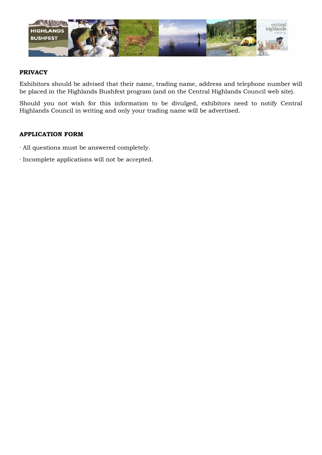

#### **PRIVACY**

Exhibitors should be advised that their name, trading name, address and telephone number will be placed in the Highlands Bushfest program (and on the Central Highlands Council web site).

Should you not wish for this information to be divulged, exhibitors need to notify Central Highlands Council in writing and only your trading name will be advertised.

#### **APPLICATION FORM**

- · All questions must be answered completely.
- · Incomplete applications will not be accepted.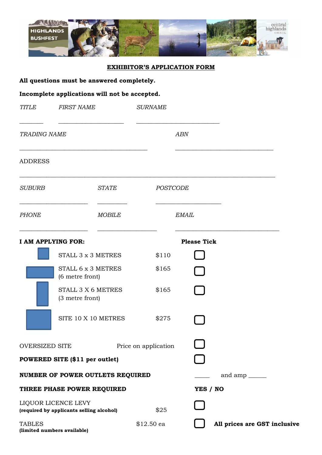

#### **EXHIBITOR'S APPLICATION FORM**

|  | All questions must be answered completely. |  |  |  |  |  |
|--|--------------------------------------------|--|--|--|--|--|
|--|--------------------------------------------|--|--|--|--|--|

# **Incomplete applications will not be accepted.**

| <b>TITLE</b>        | <b>FIRST NAME</b>                                               |               | <b>SURNAME</b>       |                    |                              |
|---------------------|-----------------------------------------------------------------|---------------|----------------------|--------------------|------------------------------|
| <b>TRADING NAME</b> |                                                                 |               |                      | <b>ABN</b>         |                              |
| <b>ADDRESS</b>      |                                                                 |               |                      |                    |                              |
| <b>SUBURB</b>       |                                                                 | <b>STATE</b>  | POSTCODE             |                    |                              |
| <b>PHONE</b>        |                                                                 | <b>MOBILE</b> |                      | <b>EMAIL</b>       |                              |
|                     | I AM APPLYING FOR:                                              |               |                      | <b>Please Tick</b> |                              |
|                     | STALL 3 x 3 METRES                                              |               | \$110                |                    |                              |
|                     | STALL 6 x 3 METRES<br>(6 metre front)                           |               | \$165                |                    |                              |
|                     | STALL 3 X 6 METRES<br>(3 metre front)                           |               | \$165                |                    |                              |
|                     | SITE 10 X 10 METRES                                             |               | \$275                |                    |                              |
| OVERSIZED SITE      |                                                                 |               | Price on application |                    |                              |
|                     | POWERED SITE (\$11 per outlet)                                  |               |                      |                    |                              |
|                     | NUMBER OF POWER OUTLETS REQUIRED                                |               |                      |                    | and amp $\_\_$               |
|                     | THREE PHASE POWER REQUIRED                                      |               |                      | YES / NO           |                              |
|                     | LIQUOR LICENCE LEVY<br>(required by applicants selling alcohol) |               | \$25                 |                    |                              |
| <b>TABLES</b>       | (limited numbers available)                                     |               | \$12.50 ea           |                    | All prices are GST inclusive |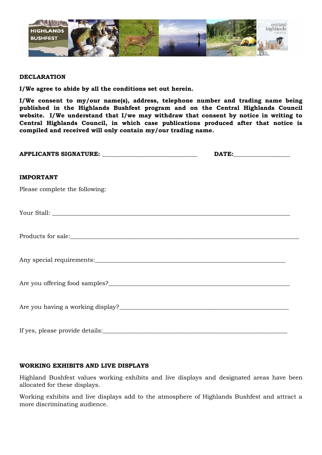

#### **DECLARATION**

**I/We agree to abide by all the conditions set out herein.**

**I/We consent to my/our name(s), address, telephone number and trading name being published in the Highlands Bushfest program and on the Central Highlands Council website. I/We understand that I/we may withdraw that consent by notice in writing to Central Highlands Council, in which case publications produced after that notice is compiled and received will only contain my/our trading name.**

| APPLICANTS SIGNATURE: ________________________________ |  |
|--------------------------------------------------------|--|
| <b>IMPORTANT</b>                                       |  |
| Please complete the following:                         |  |
|                                                        |  |
|                                                        |  |
|                                                        |  |
|                                                        |  |
|                                                        |  |
|                                                        |  |

#### **WORKING EXHIBITS AND LIVE DISPLAYS**

Highland Bushfest values working exhibits and live displays and designated areas have been allocated for these displays.

Working exhibits and live displays add to the atmosphere of Highlands Bushfest and attract a more discriminating audience.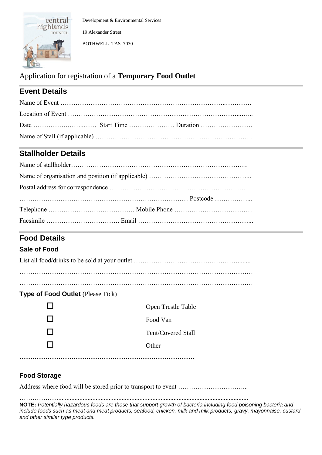

Development & Environmental Services 19 Alexander Street

BOTHWELL TAS 7030

# Application for registration of a **Temporary Food Outlet**

# **Event Details**

# **Stallholder Details**

# **Food Details**

# **Sale of Food**

# **Type of Food Outlet** (Please Tick)

|                 | Open Trestle Table |
|-----------------|--------------------|
| <b>Contract</b> | Food Van           |
| <b>Contract</b> | Tent/Covered Stall |
| $\mathsf{L}$    | Other              |
|                 |                    |

# **Food Storage**

Address where food will be stored prior to transport to event …………………………...

……………….....................................................................................................................

**NOTE:** *Potentially hazardous foods are those that support growth of bacteria including food poisoning bacteria and include foods such as meat and meat products, seafood, chicken, milk and milk products, gravy, mayonnaise, custard and other similar type products.*